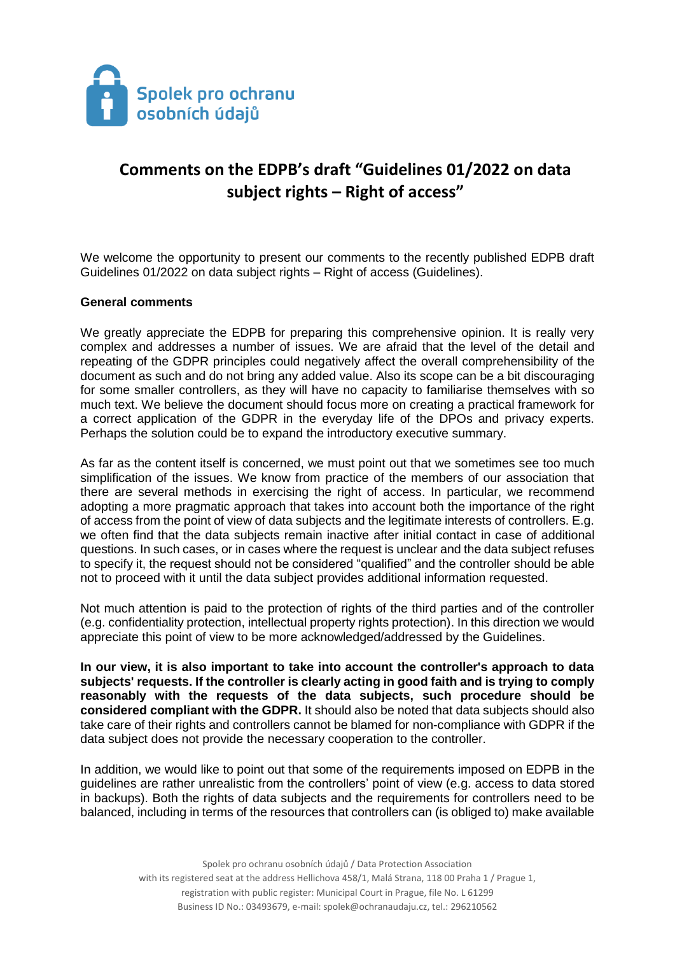

## **Comments on the EDPB's draft "Guidelines 01/2022 on data subject rights – Right of access"**

We welcome the opportunity to present our comments to the recently published EDPB draft Guidelines 01/2022 on data subject rights – Right of access (Guidelines).

## **General comments**

We greatly appreciate the EDPB for preparing this comprehensive opinion. It is really very complex and addresses a number of issues. We are afraid that the level of the detail and repeating of the GDPR principles could negatively affect the overall comprehensibility of the document as such and do not bring any added value. Also its scope can be a bit discouraging for some smaller controllers, as they will have no capacity to familiarise themselves with so much text. We believe the document should focus more on creating a practical framework for a correct application of the GDPR in the everyday life of the DPOs and privacy experts. Perhaps the solution could be to expand the introductory executive summary.

As far as the content itself is concerned, we must point out that we sometimes see too much simplification of the issues. We know from practice of the members of our association that there are several methods in exercising the right of access. In particular, we recommend adopting a more pragmatic approach that takes into account both the importance of the right of access from the point of view of data subjects and the legitimate interests of controllers. E.g. we often find that the data subjects remain inactive after initial contact in case of additional questions. In such cases, or in cases where the request is unclear and the data subject refuses to specify it, the request should not be considered "qualified" and the controller should be able not to proceed with it until the data subject provides additional information requested.

Not much attention is paid to the protection of rights of the third parties and of the controller (e.g. confidentiality protection, intellectual property rights protection). In this direction we would appreciate this point of view to be more acknowledged/addressed by the Guidelines.

**In our view, it is also important to take into account the controller's approach to data subjects' requests. If the controller is clearly acting in good faith and is trying to comply reasonably with the requests of the data subjects, such procedure should be considered compliant with the GDPR.** It should also be noted that data subjects should also take care of their rights and controllers cannot be blamed for non-compliance with GDPR if the data subject does not provide the necessary cooperation to the controller.

In addition, we would like to point out that some of the requirements imposed on EDPB in the guidelines are rather unrealistic from the controllers' point of view (e.g. access to data stored in backups). Both the rights of data subjects and the requirements for controllers need to be balanced, including in terms of the resources that controllers can (is obliged to) make available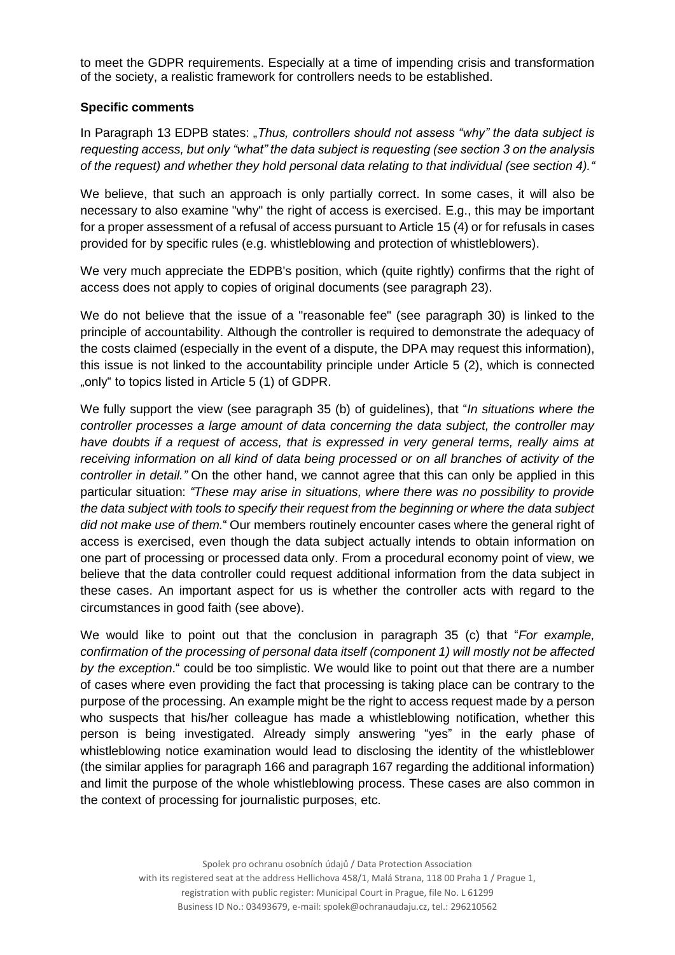to meet the GDPR requirements. Especially at a time of impending crisis and transformation of the society, a realistic framework for controllers needs to be established.

## **Specific comments**

In Paragraph 13 EDPB states: "*Thus, controllers should not assess "why" the data subject is requesting access, but only "what" the data subject is requesting (see section 3 on the analysis of the request) and whether they hold personal data relating to that individual (see section 4)."*

We believe, that such an approach is only partially correct. In some cases, it will also be necessary to also examine "why" the right of access is exercised. E.g., this may be important for a proper assessment of a refusal of access pursuant to Article 15 (4) or for refusals in cases provided for by specific rules (e.g. whistleblowing and protection of whistleblowers).

We very much appreciate the EDPB's position, which (quite rightly) confirms that the right of access does not apply to copies of original documents (see paragraph 23).

We do not believe that the issue of a "reasonable fee" (see paragraph 30) is linked to the principle of accountability. Although the controller is required to demonstrate the adequacy of the costs claimed (especially in the event of a dispute, the DPA may request this information), this issue is not linked to the accountability principle under Article 5 (2), which is connected "only" to topics listed in Article 5 (1) of GDPR.

We fully support the view (see paragraph 35 (b) of guidelines), that "*In situations where the controller processes a large amount of data concerning the data subject, the controller may*  have doubts if a request of access, that is expressed in very general terms, really aims at *receiving information on all kind of data being processed or on all branches of activity of the controller in detail."* On the other hand, we cannot agree that this can only be applied in this particular situation: *"These may arise in situations, where there was no possibility to provide the data subject with tools to specify their request from the beginning or where the data subject did not make use of them.*" Our members routinely encounter cases where the general right of access is exercised, even though the data subject actually intends to obtain information on one part of processing or processed data only. From a procedural economy point of view, we believe that the data controller could request additional information from the data subject in these cases. An important aspect for us is whether the controller acts with regard to the circumstances in good faith (see above).

We would like to point out that the conclusion in paragraph 35 (c) that "*For example, confirmation of the processing of personal data itself (component 1) will mostly not be affected by the exception*." could be too simplistic. We would like to point out that there are a number of cases where even providing the fact that processing is taking place can be contrary to the purpose of the processing. An example might be the right to access request made by a person who suspects that his/her colleague has made a whistleblowing notification, whether this person is being investigated. Already simply answering "yes" in the early phase of whistleblowing notice examination would lead to disclosing the identity of the whistleblower (the similar applies for paragraph 166 and paragraph 167 regarding the additional information) and limit the purpose of the whole whistleblowing process. These cases are also common in the context of processing for journalistic purposes, etc.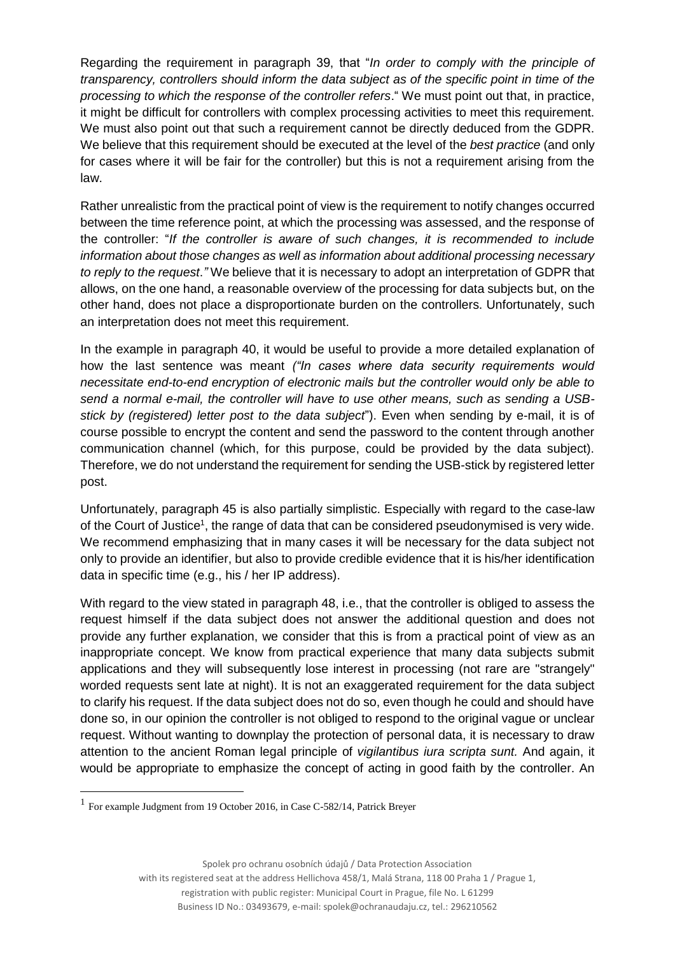Regarding the requirement in paragraph 39, that "*In order to comply with the principle of transparency, controllers should inform the data subject as of the specific point in time of the processing to which the response of the controller refers*." We must point out that, in practice, it might be difficult for controllers with complex processing activities to meet this requirement. We must also point out that such a requirement cannot be directly deduced from the GDPR. We believe that this requirement should be executed at the level of the *best practice* (and only for cases where it will be fair for the controller) but this is not a requirement arising from the law.

Rather unrealistic from the practical point of view is the requirement to notify changes occurred between the time reference point, at which the processing was assessed, and the response of the controller: "*If the controller is aware of such changes, it is recommended to include information about those changes as well as information about additional processing necessary to reply to the request*.*"* We believe that it is necessary to adopt an interpretation of GDPR that allows, on the one hand, a reasonable overview of the processing for data subjects but, on the other hand, does not place a disproportionate burden on the controllers. Unfortunately, such an interpretation does not meet this requirement.

In the example in paragraph 40, it would be useful to provide a more detailed explanation of how the last sentence was meant *("In cases where data security requirements would necessitate end-to-end encryption of electronic mails but the controller would only be able to send a normal e-mail, the controller will have to use other means, such as sending a USBstick by (registered) letter post to the data subject*"). Even when sending by e-mail, it is of course possible to encrypt the content and send the password to the content through another communication channel (which, for this purpose, could be provided by the data subject). Therefore, we do not understand the requirement for sending the USB-stick by registered letter post.

Unfortunately, paragraph 45 is also partially simplistic. Especially with regard to the case-law of the Court of Justice<sup>1</sup>, the range of data that can be considered pseudonymised is very wide. We recommend emphasizing that in many cases it will be necessary for the data subject not only to provide an identifier, but also to provide credible evidence that it is his/her identification data in specific time (e.g., his / her IP address).

With regard to the view stated in paragraph 48, i.e., that the controller is obliged to assess the request himself if the data subject does not answer the additional question and does not provide any further explanation, we consider that this is from a practical point of view as an inappropriate concept. We know from practical experience that many data subjects submit applications and they will subsequently lose interest in processing (not rare are "strangely" worded requests sent late at night). It is not an exaggerated requirement for the data subject to clarify his request. If the data subject does not do so, even though he could and should have done so, in our opinion the controller is not obliged to respond to the original vague or unclear request. Without wanting to downplay the protection of personal data, it is necessary to draw attention to the ancient Roman legal principle of *vigilantibus iura scripta sunt.* And again, it would be appropriate to emphasize the concept of acting in good faith by the controller. An

 $\overline{\phantom{a}}$ 

Spolek pro ochranu osobních údajů / Data Protection Association

with its registered seat at the address Hellichova 458/1, Malá Strana, 118 00 Praha 1 / Prague 1,

registration with public register: Municipal Court in Prague, file No. L 61299

Business ID No.: 03493679, e-mail: spolek@ochranaudaju.cz, tel.: 296210562

<sup>1</sup> For example Judgment from 19 October 2016, in Case C-582/14, Patrick Breyer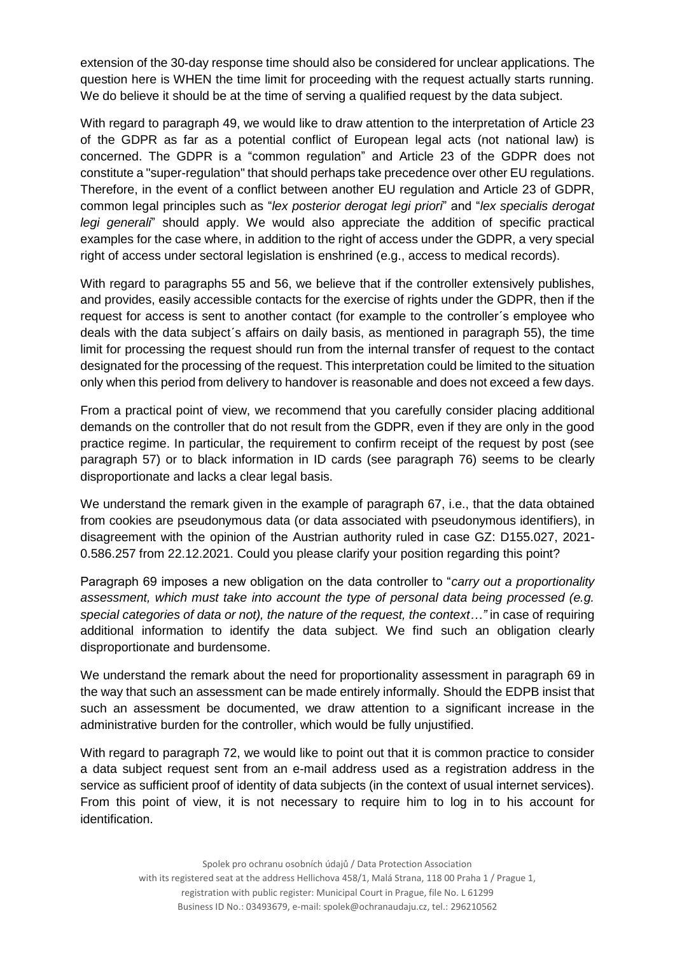extension of the 30-day response time should also be considered for unclear applications. The question here is WHEN the time limit for proceeding with the request actually starts running. We do believe it should be at the time of serving a qualified request by the data subject.

With regard to paragraph 49, we would like to draw attention to the interpretation of Article 23 of the GDPR as far as a potential conflict of European legal acts (not national law) is concerned. The GDPR is a "common regulation" and Article 23 of the GDPR does not constitute a "super-regulation" that should perhaps take precedence over other EU regulations. Therefore, in the event of a conflict between another EU regulation and Article 23 of GDPR, common legal principles such as "*lex posterior derogat legi priori*" and "*lex specialis derogat legi generali*" should apply. We would also appreciate the addition of specific practical examples for the case where, in addition to the right of access under the GDPR, a very special right of access under sectoral legislation is enshrined (e.g., access to medical records).

With regard to paragraphs 55 and 56, we believe that if the controller extensively publishes, and provides, easily accessible contacts for the exercise of rights under the GDPR, then if the request for access is sent to another contact (for example to the controller´s employee who deals with the data subject´s affairs on daily basis, as mentioned in paragraph 55), the time limit for processing the request should run from the internal transfer of request to the contact designated for the processing of the request. This interpretation could be limited to the situation only when this period from delivery to handover is reasonable and does not exceed a few days.

From a practical point of view, we recommend that you carefully consider placing additional demands on the controller that do not result from the GDPR, even if they are only in the good practice regime. In particular, the requirement to confirm receipt of the request by post (see paragraph 57) or to black information in ID cards (see paragraph 76) seems to be clearly disproportionate and lacks a clear legal basis.

We understand the remark given in the example of paragraph 67, i.e., that the data obtained from cookies are pseudonymous data (or data associated with pseudonymous identifiers), in disagreement with the opinion of the Austrian authority ruled in case GZ: D155.027, 2021- 0.586.257 from 22.12.2021. Could you please clarify your position regarding this point?

Paragraph 69 imposes a new obligation on the data controller to "*carry out a proportionality assessment, which must take into account the type of personal data being processed (e.g. special categories of data or not), the nature of the request, the context…"* in case of requiring additional information to identify the data subject. We find such an obligation clearly disproportionate and burdensome.

We understand the remark about the need for proportionality assessment in paragraph 69 in the way that such an assessment can be made entirely informally. Should the EDPB insist that such an assessment be documented, we draw attention to a significant increase in the administrative burden for the controller, which would be fully unjustified.

With regard to paragraph 72, we would like to point out that it is common practice to consider a data subject request sent from an e-mail address used as a registration address in the service as sufficient proof of identity of data subjects (in the context of usual internet services). From this point of view, it is not necessary to require him to log in to his account for identification.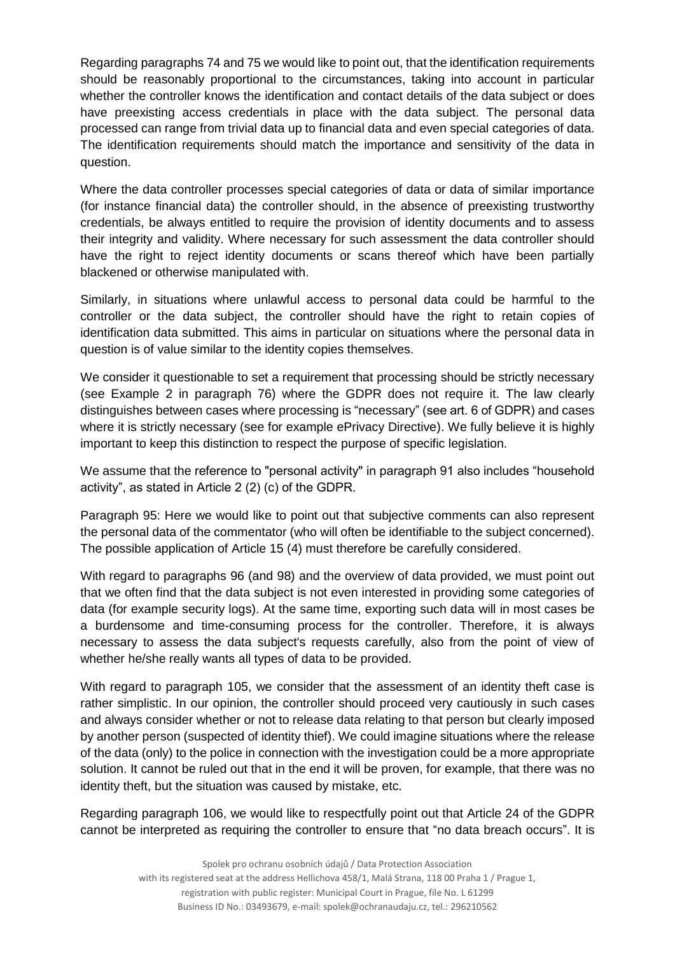Regarding paragraphs 74 and 75 we would like to point out, that the identification requirements should be reasonably proportional to the circumstances, taking into account in particular whether the controller knows the identification and contact details of the data subject or does have preexisting access credentials in place with the data subject. The personal data processed can range from trivial data up to financial data and even special categories of data. The identification requirements should match the importance and sensitivity of the data in question.

Where the data controller processes special categories of data or data of similar importance (for instance financial data) the controller should, in the absence of preexisting trustworthy credentials, be always entitled to require the provision of identity documents and to assess their integrity and validity. Where necessary for such assessment the data controller should have the right to reject identity documents or scans thereof which have been partially blackened or otherwise manipulated with.

Similarly, in situations where unlawful access to personal data could be harmful to the controller or the data subject, the controller should have the right to retain copies of identification data submitted. This aims in particular on situations where the personal data in question is of value similar to the identity copies themselves.

We consider it questionable to set a requirement that processing should be strictly necessary (see Example 2 in paragraph 76) where the GDPR does not require it. The law clearly distinguishes between cases where processing is "necessary" (see art. 6 of GDPR) and cases where it is strictly necessary (see for example ePrivacy Directive). We fully believe it is highly important to keep this distinction to respect the purpose of specific legislation.

We assume that the reference to "personal activity" in paragraph 91 also includes "household activity", as stated in Article 2 (2) (c) of the GDPR.

Paragraph 95: Here we would like to point out that subjective comments can also represent the personal data of the commentator (who will often be identifiable to the subject concerned). The possible application of Article 15 (4) must therefore be carefully considered.

With regard to paragraphs 96 (and 98) and the overview of data provided, we must point out that we often find that the data subject is not even interested in providing some categories of data (for example security logs). At the same time, exporting such data will in most cases be a burdensome and time-consuming process for the controller. Therefore, it is always necessary to assess the data subject's requests carefully, also from the point of view of whether he/she really wants all types of data to be provided.

With regard to paragraph 105, we consider that the assessment of an identity theft case is rather simplistic. In our opinion, the controller should proceed very cautiously in such cases and always consider whether or not to release data relating to that person but clearly imposed by another person (suspected of identity thief). We could imagine situations where the release of the data (only) to the police in connection with the investigation could be a more appropriate solution. It cannot be ruled out that in the end it will be proven, for example, that there was no identity theft, but the situation was caused by mistake, etc.

Regarding paragraph 106, we would like to respectfully point out that Article 24 of the GDPR cannot be interpreted as requiring the controller to ensure that "no data breach occurs". It is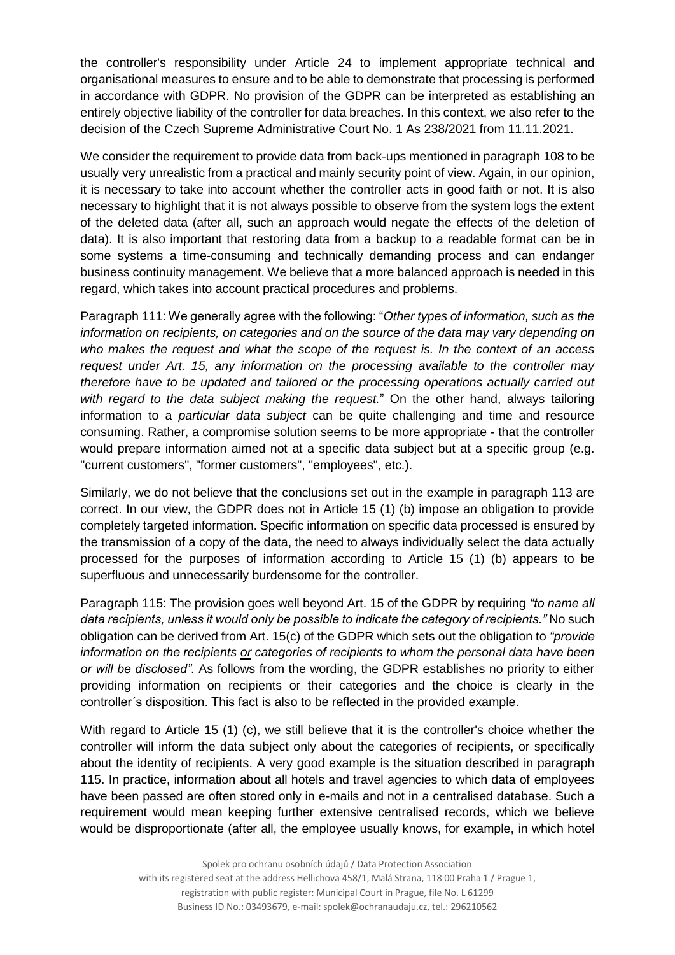the controller's responsibility under Article 24 to implement appropriate technical and organisational measures to ensure and to be able to demonstrate that processing is performed in accordance with GDPR. No provision of the GDPR can be interpreted as establishing an entirely objective liability of the controller for data breaches. In this context, we also refer to the decision of the Czech Supreme Administrative Court No. 1 As 238/2021 from 11.11.2021.

We consider the requirement to provide data from back-ups mentioned in paragraph 108 to be usually very unrealistic from a practical and mainly security point of view. Again, in our opinion, it is necessary to take into account whether the controller acts in good faith or not. It is also necessary to highlight that it is not always possible to observe from the system logs the extent of the deleted data (after all, such an approach would negate the effects of the deletion of data). It is also important that restoring data from a backup to a readable format can be in some systems a time-consuming and technically demanding process and can endanger business continuity management. We believe that a more balanced approach is needed in this regard, which takes into account practical procedures and problems.

Paragraph 111: We generally agree with the following: "*Other types of information, such as the information on recipients, on categories and on the source of the data may vary depending on who makes the request and what the scope of the request is. In the context of an access request under Art. 15, any information on the processing available to the controller may therefore have to be updated and tailored or the processing operations actually carried out with regard to the data subject making the request.*" On the other hand, always tailoring information to a *particular data subject* can be quite challenging and time and resource consuming. Rather, a compromise solution seems to be more appropriate - that the controller would prepare information aimed not at a specific data subject but at a specific group (e.g. "current customers", "former customers", "employees", etc.).

Similarly, we do not believe that the conclusions set out in the example in paragraph 113 are correct. In our view, the GDPR does not in Article 15 (1) (b) impose an obligation to provide completely targeted information. Specific information on specific data processed is ensured by the transmission of a copy of the data, the need to always individually select the data actually processed for the purposes of information according to Article 15 (1) (b) appears to be superfluous and unnecessarily burdensome for the controller.

Paragraph 115: The provision goes well beyond Art. 15 of the GDPR by requiring *"to name all data recipients, unless it would only be possible to indicate the category of recipients."* No such obligation can be derived from Art. 15(c) of the GDPR which sets out the obligation to *"provide information on the recipients or categories of recipients to whom the personal data have been or will be disclosed"*. As follows from the wording, the GDPR establishes no priority to either providing information on recipients or their categories and the choice is clearly in the controller´s disposition. This fact is also to be reflected in the provided example.

With regard to Article 15 (1) (c), we still believe that it is the controller's choice whether the controller will inform the data subject only about the categories of recipients, or specifically about the identity of recipients. A very good example is the situation described in paragraph 115. In practice, information about all hotels and travel agencies to which data of employees have been passed are often stored only in e-mails and not in a centralised database. Such a requirement would mean keeping further extensive centralised records, which we believe would be disproportionate (after all, the employee usually knows, for example, in which hotel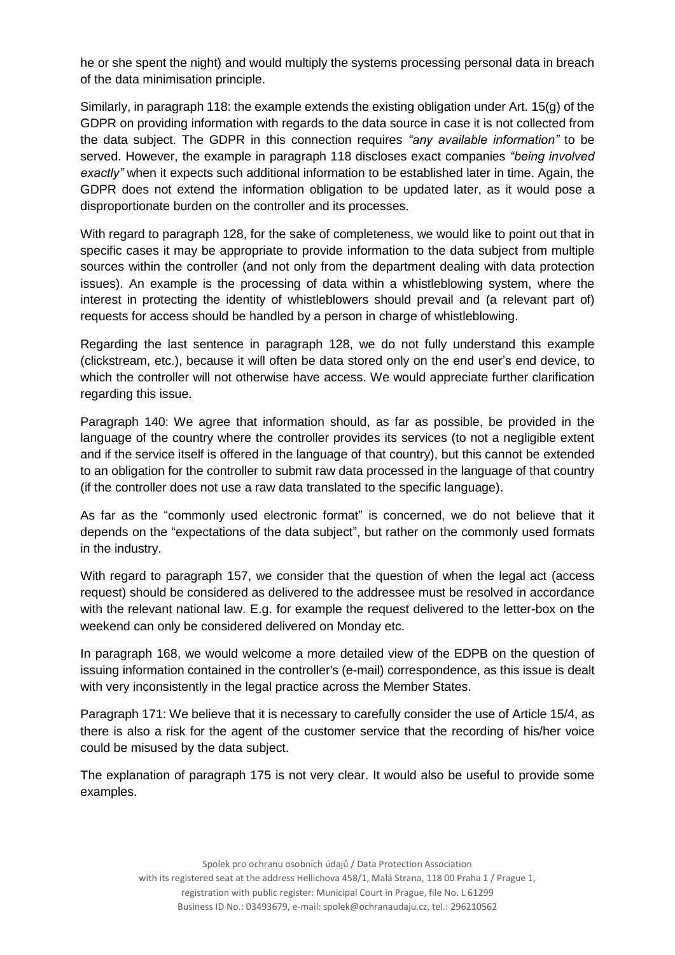he or she spent the night) and would multiply the systems processing personal data in breach of the data minimisation principle.

Similarly, in paragraph 118: the example extends the existing obligation under Art. 15(g) of the GDPR on providing information with regards to the data source in case it is not collected from the data subject. The GDPR in this connection requires *"any available information"* to be served. However, the example in paragraph 118 discloses exact companies *"being involved exactly"* when it expects such additional information to be established later in time. Again, the GDPR does not extend the information obligation to be updated later, as it would pose a disproportionate burden on the controller and its processes.

With regard to paragraph 128, for the sake of completeness, we would like to point out that in specific cases it may be appropriate to provide information to the data subject from multiple sources within the controller (and not only from the department dealing with data protection issues). An example is the processing of data within a whistleblowing system, where the interest in protecting the identity of whistleblowers should prevail and (a relevant part of) requests for access should be handled by a person in charge of whistleblowing.

Regarding the last sentence in paragraph 128, we do not fully understand this example (clickstream, etc.), because it will often be data stored only on the end user's end device, to which the controller will not otherwise have access. We would appreciate further clarification regarding this issue.

Paragraph 140: We agree that information should, as far as possible, be provided in the language of the country where the controller provides its services (to not a negligible extent and if the service itself is offered in the language of that country), but this cannot be extended to an obligation for the controller to submit raw data processed in the language of that country (if the controller does not use a raw data translated to the specific language).

As far as the "commonly used electronic format" is concerned, we do not believe that it depends on the "expectations of the data subject", but rather on the commonly used formats in the industry.

With regard to paragraph 157, we consider that the question of when the legal act (access request) should be considered as delivered to the addressee must be resolved in accordance with the relevant national law. E.g. for example the request delivered to the letter-box on the weekend can only be considered delivered on Monday etc.

In paragraph 168, we would welcome a more detailed view of the EDPB on the question of issuing information contained in the controller's (e-mail) correspondence, as this issue is dealt with very inconsistently in the legal practice across the Member States.

Paragraph 171: We believe that it is necessary to carefully consider the use of Article 15/4, as there is also a risk for the agent of the customer service that the recording of his/her voice could be misused by the data subject.

The explanation of paragraph 175 is not very clear. It would also be useful to provide some examples.